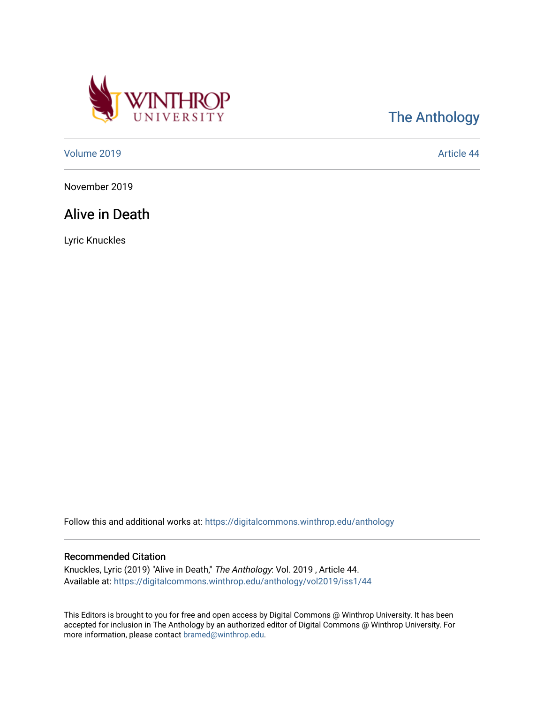

[The Anthology](https://digitalcommons.winthrop.edu/anthology) 

[Volume 2019](https://digitalcommons.winthrop.edu/anthology/vol2019) [Article 44](https://digitalcommons.winthrop.edu/anthology/vol2019/iss1/44) 

November 2019

## Alive in Death

Lyric Knuckles

Follow this and additional works at: [https://digitalcommons.winthrop.edu/anthology](https://digitalcommons.winthrop.edu/anthology?utm_source=digitalcommons.winthrop.edu%2Fanthology%2Fvol2019%2Fiss1%2F44&utm_medium=PDF&utm_campaign=PDFCoverPages) 

## Recommended Citation

Knuckles, Lyric (2019) "Alive in Death," The Anthology: Vol. 2019 , Article 44. Available at: [https://digitalcommons.winthrop.edu/anthology/vol2019/iss1/44](https://digitalcommons.winthrop.edu/anthology/vol2019/iss1/44?utm_source=digitalcommons.winthrop.edu%2Fanthology%2Fvol2019%2Fiss1%2F44&utm_medium=PDF&utm_campaign=PDFCoverPages) 

This Editors is brought to you for free and open access by Digital Commons @ Winthrop University. It has been accepted for inclusion in The Anthology by an authorized editor of Digital Commons @ Winthrop University. For more information, please contact [bramed@winthrop.edu](mailto:bramed@winthrop.edu).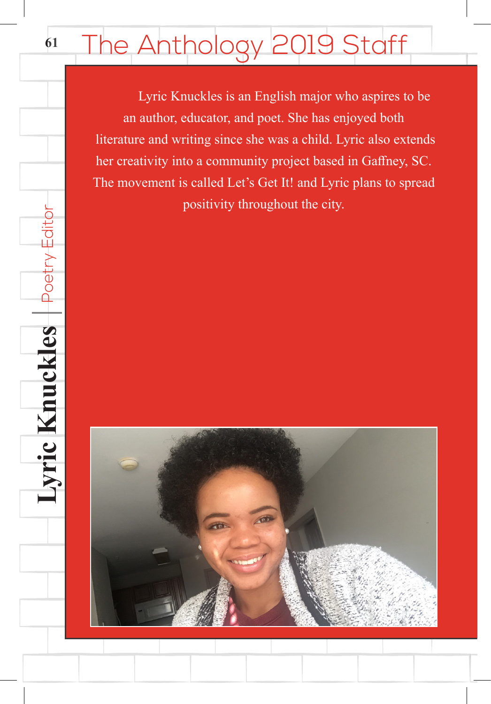## **61**The Anthology 2019 Staff

**Lyric Knuckles** Poetry Editor

Lyric Knuckles **Poetry Editor** 

 Lyric Knuckles is an English major who aspires to be an author, educator, and poet. She has enjoyed both literature and writing since she was a child. Lyric also extends her creativity into a community project based in Gaffney, SC. The movement is called Let's Get It! and Lyric plans to spread positivity throughout the city.